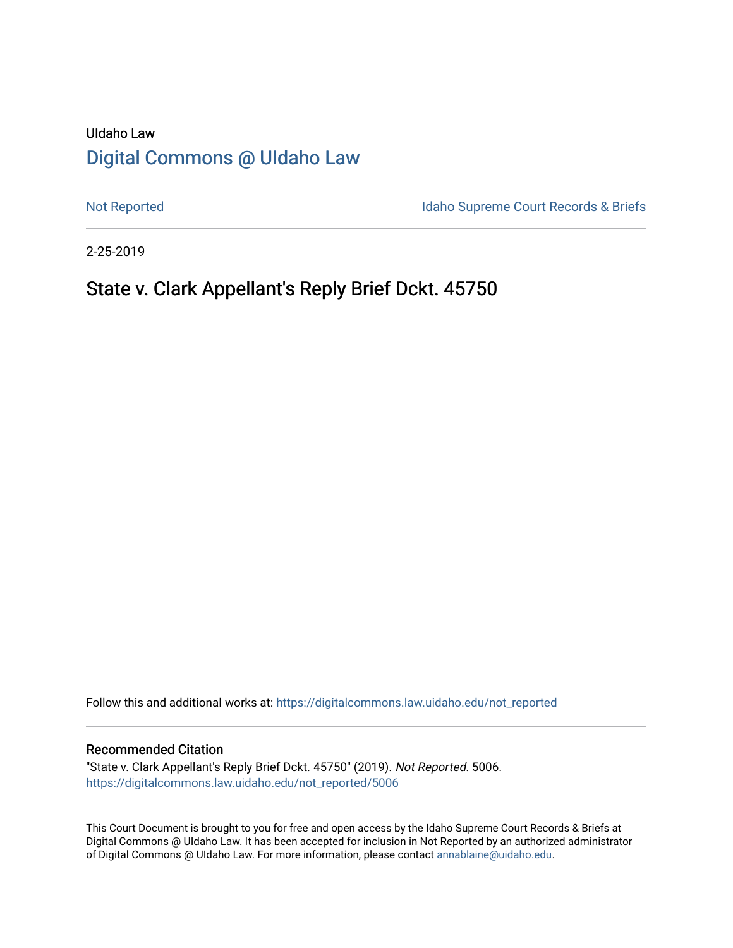# UIdaho Law [Digital Commons @ UIdaho Law](https://digitalcommons.law.uidaho.edu/)

[Not Reported](https://digitalcommons.law.uidaho.edu/not_reported) **Idaho Supreme Court Records & Briefs** 

2-25-2019

# State v. Clark Appellant's Reply Brief Dckt. 45750

Follow this and additional works at: [https://digitalcommons.law.uidaho.edu/not\\_reported](https://digitalcommons.law.uidaho.edu/not_reported?utm_source=digitalcommons.law.uidaho.edu%2Fnot_reported%2F5006&utm_medium=PDF&utm_campaign=PDFCoverPages) 

### Recommended Citation

"State v. Clark Appellant's Reply Brief Dckt. 45750" (2019). Not Reported. 5006. [https://digitalcommons.law.uidaho.edu/not\\_reported/5006](https://digitalcommons.law.uidaho.edu/not_reported/5006?utm_source=digitalcommons.law.uidaho.edu%2Fnot_reported%2F5006&utm_medium=PDF&utm_campaign=PDFCoverPages)

This Court Document is brought to you for free and open access by the Idaho Supreme Court Records & Briefs at Digital Commons @ UIdaho Law. It has been accepted for inclusion in Not Reported by an authorized administrator of Digital Commons @ UIdaho Law. For more information, please contact [annablaine@uidaho.edu](mailto:annablaine@uidaho.edu).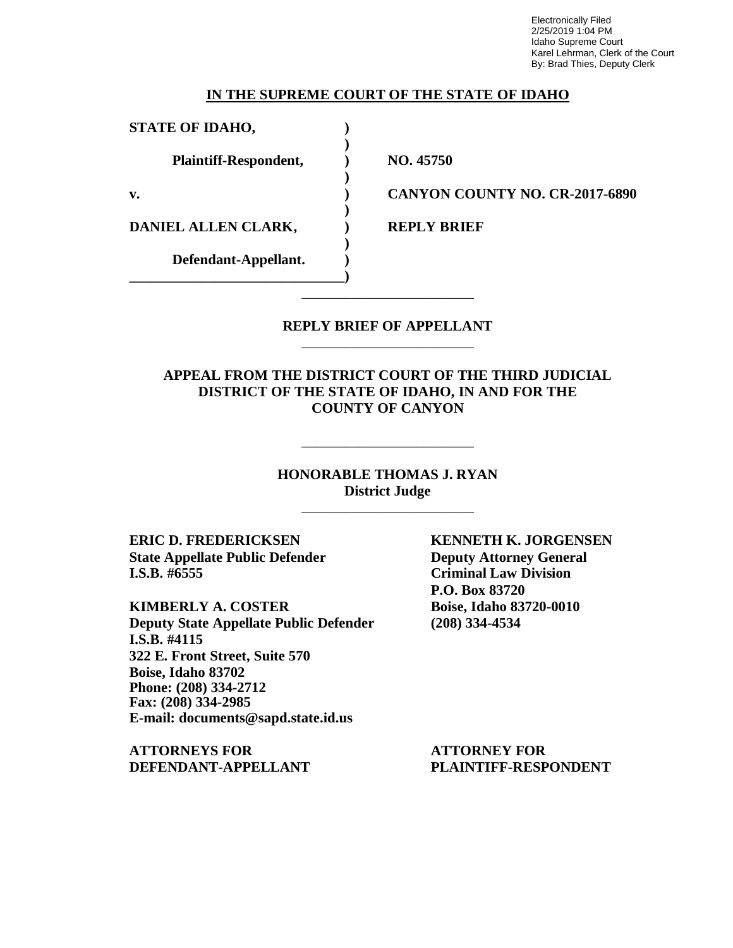Electronically Filed 2/25/2019 1:04 PM Idaho Supreme Court Karel Lehrman, Clerk of the Court By: Brad Thies, Deputy Clerk

### **[I](https://1.next.westlaw.com/Link/Document/FullText?findType=Y&serNum=1966129301&pubNum=0000661&originatingDoc=Ia88894a5b6eb11e4b86bd602cb8781fa&refType=RP&fi=co_pp_sp_661_454&originationContext=document&transitionType=DocumentItem&contextData=(sc.Search)#co_pp_sp_661_454)[N](https://1.next.westlaw.com/Link/Document/FullText?findType=Y&serNum=1982110208&pubNum=0000661&originatingDoc=Ia88894a5b6eb11e4b86bd602cb8781fa&refType=RP&fi=co_pp_sp_661_81&originationContext=document&transitionType=DocumentItem&contextData=(sc.Search)#co_pp_sp_661_81)[T](https://1.next.westlaw.com/Link/Document/FullText?findType=Y&serNum=1992203946&pubNum=0000708&originatingDoc=Ia88894a5b6eb11e4b86bd602cb8781fa&refType=RP&fi=co_pp_sp_708_523&originationContext=document&transitionType=DocumentItem&contextData=(sc.Search)#co_pp_sp_708_523)HE SUPREME COURT OF THE STATE OF IDAHO**

**)**

**)**

**)**

**)**

**STATE OF IDAHO, ) Plaintiff-Respondent, ) NO. 45750**

**DANIEL ALLEN CLARK, ) REPLY BRIEF**

**Defendant-Appellant. ) \_\_\_\_\_\_\_\_\_\_\_\_\_\_\_\_\_\_\_\_\_\_\_\_\_\_\_\_\_\_)**

**v. ) CANYON COUNTY NO. CR-2017-6890**

### **REPLY BRIEF OF APPELLANT** \_\_\_\_\_\_\_\_\_\_\_\_\_\_\_\_\_\_\_\_\_\_\_\_

\_\_\_\_\_\_\_\_\_\_\_\_\_\_\_\_\_\_\_\_\_\_\_\_

**APPEAL FROM THE DISTRICT COURT OF THE THIRD JUDICIAL DISTRICT OF THE STATE OF IDAHO, IN AND FOR THE COUNTY OF CANYON**

> **HONORABLE THOMAS J. RYAN District Judge**

> > \_\_\_\_\_\_\_\_\_\_\_\_\_\_\_\_\_\_\_\_\_\_\_\_

\_\_\_\_\_\_\_\_\_\_\_\_\_\_\_\_\_\_\_\_\_\_\_\_

**ERIC D. FREDERICKSEN KENNETH K. JORGENSEN State Appellate Public Defender Deputy Attorney General I.S.B. #6555 Criminal Law Division**

**KIMBERLY A. COSTER Boise, Idaho 83720-0010 Deputy State Appellate Public Defender (208) 334-4534 I.S.B. #4115 322 E. Front Street, Suite 570 Boise, Idaho 83702 Phone: (208) 334-2712 Fax: (208) 334-2985 E-mail: documents@sapd.state.id.us**

**ATTORNEYS FOR ATTORNEY FOR DEFENDANT-APPELLANT PLAINTIFF-RESPONDENT**

**P.O. Box 83720**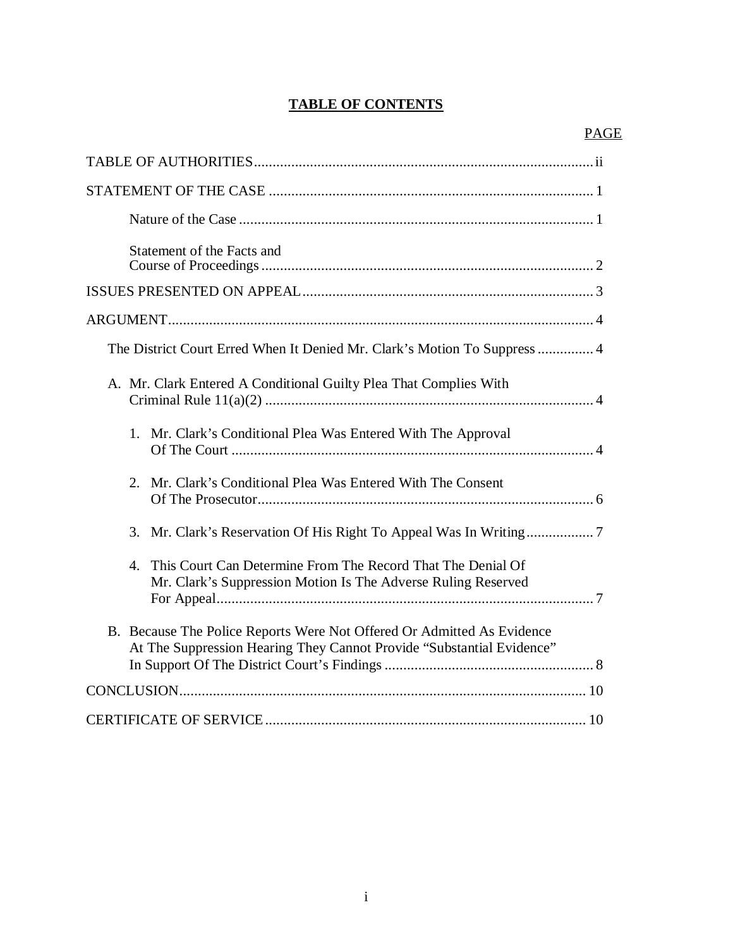## **TABLE OF CONTENTS**

| Statement of the Facts and                                                                                                                      |
|-------------------------------------------------------------------------------------------------------------------------------------------------|
|                                                                                                                                                 |
|                                                                                                                                                 |
| The District Court Erred When It Denied Mr. Clark's Motion To Suppress  4                                                                       |
| A. Mr. Clark Entered A Conditional Guilty Plea That Complies With                                                                               |
| 1. Mr. Clark's Conditional Plea Was Entered With The Approval                                                                                   |
| Mr. Clark's Conditional Plea Was Entered With The Consent<br>2.                                                                                 |
|                                                                                                                                                 |
| This Court Can Determine From The Record That The Denial Of<br>4.<br>Mr. Clark's Suppression Motion Is The Adverse Ruling Reserved              |
| B. Because The Police Reports Were Not Offered Or Admitted As Evidence<br>At The Suppression Hearing They Cannot Provide "Substantial Evidence" |
|                                                                                                                                                 |
|                                                                                                                                                 |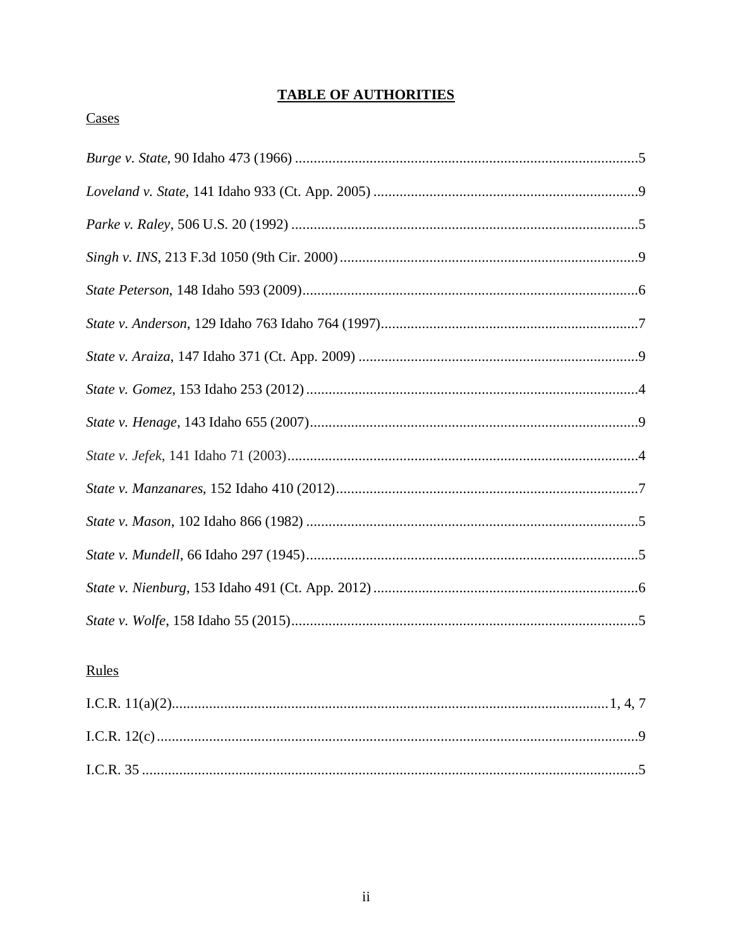# **TABLE OF AUTHORITIES**

## Cases

# Rules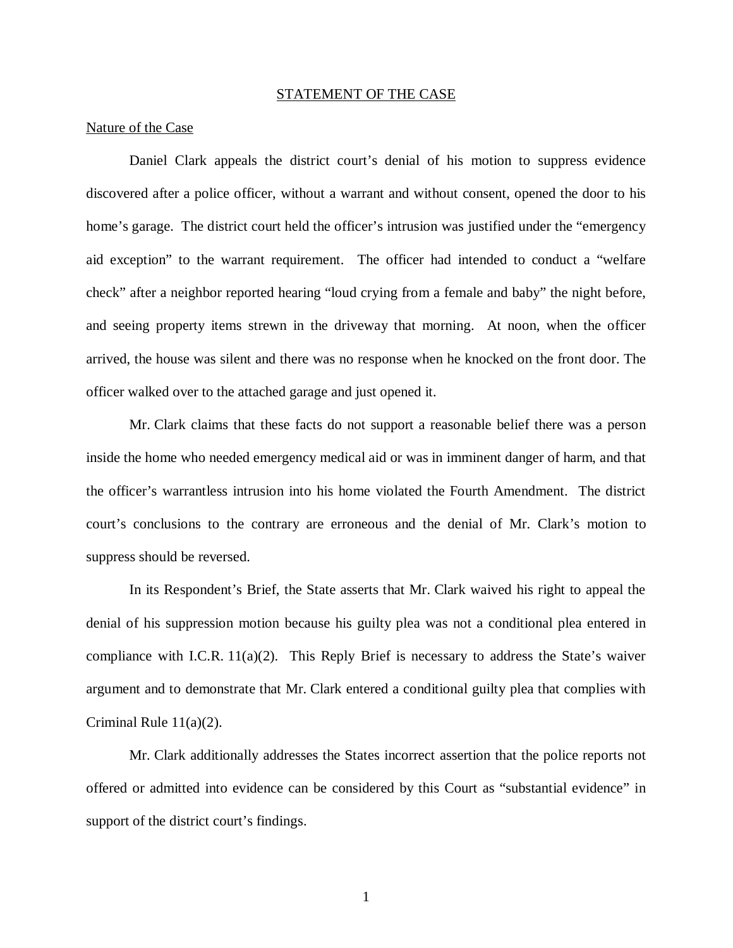#### STATEMENT OF THE CASE

### Nature of the Case

Daniel Clark appeals the district court's denial of his motion to suppress evidence discovered after a police officer, without a warrant and without consent, opened the door to his home's garage. The district court held the officer's intrusion was justified under the "emergency aid exception" to the warrant requirement. The officer had intended to conduct a "welfare check" after a neighbor reported hearing "loud crying from a female and baby" the night before, and seeing property items strewn in the driveway that morning. At noon, when the officer arrived, the house was silent and there was no response when he knocked on the front door. The officer walked over to the attached garage and just opened it.

Mr. Clark claims that these facts do not support a reasonable belief there was a person inside the home who needed emergency medical aid or was in imminent danger of harm, and that the officer's warrantless intrusion into his home violated the Fourth Amendment. The district court's conclusions to the contrary are erroneous and the denial of Mr. Clark's motion to suppress should be reversed.

In its Respondent's Brief, the State asserts that Mr. Clark waived his right to appeal the denial of his suppression motion because his guilty plea was not a conditional plea entered in compliance with I.C.R. 11(a)(2). This Reply Brief is necessary to address the State's waiver argument and to demonstrate that Mr. Clark entered a conditional guilty plea that complies with Criminal Rule 11(a)(2).

Mr. Clark additionally addresses the States incorrect assertion that the police reports not offered or admitted into evidence can be considered by this Court as "substantial evidence" in support of the district court's findings.

1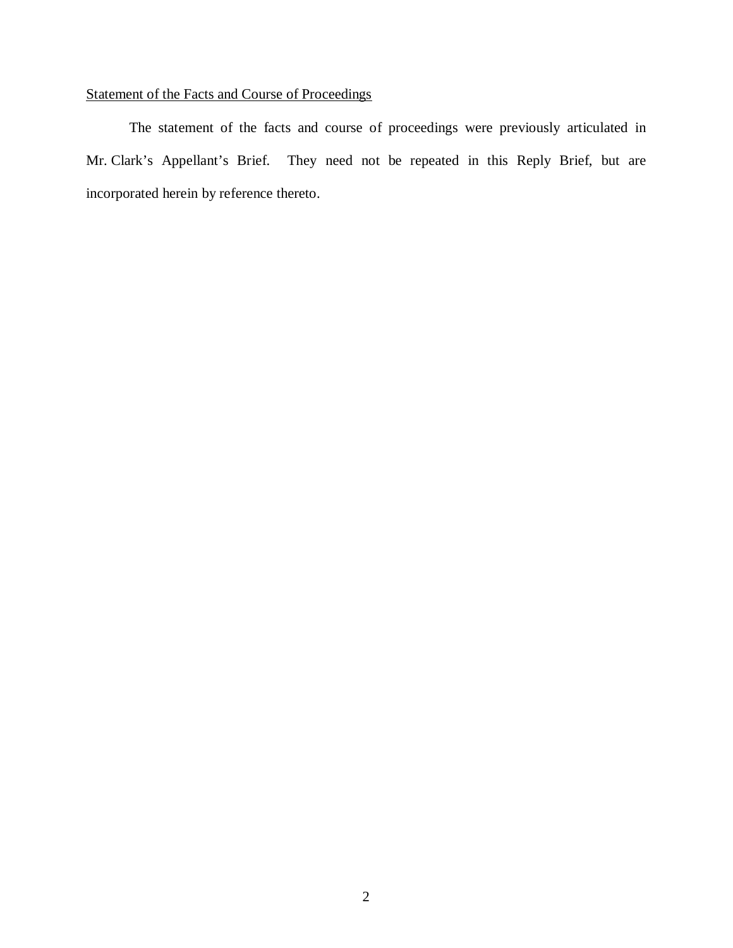## Statement of the Facts and Course of Proceedings

The statement of the facts and course of proceedings were previously articulated in Mr. Clark's Appellant's Brief. They need not be repeated in this Reply Brief, but are incorporated herein by reference thereto.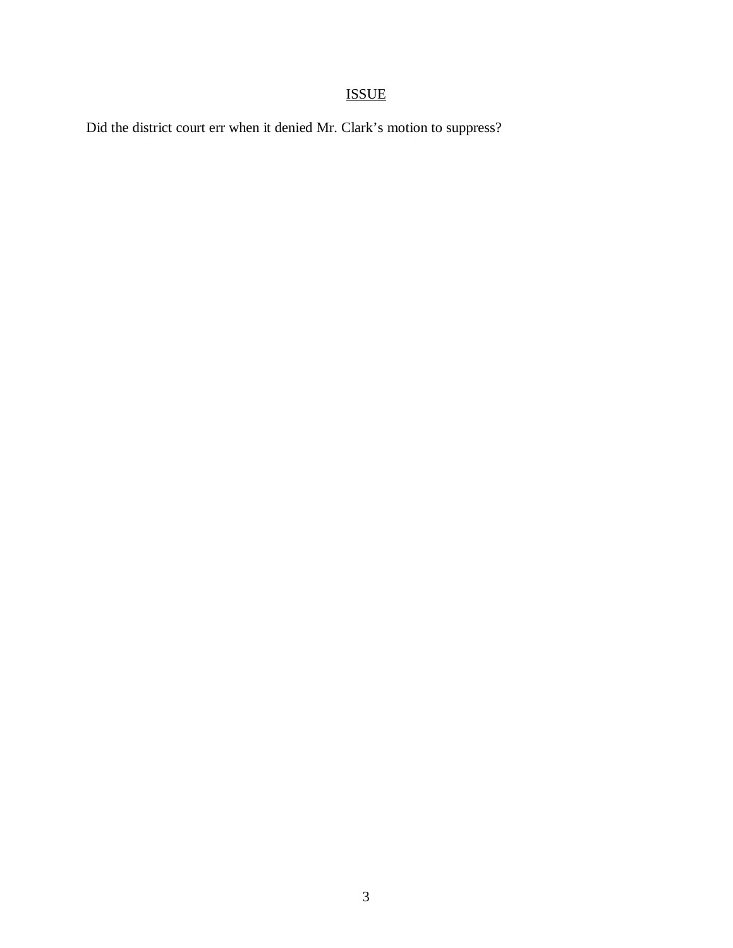# ISSUE

Did the district court err when it denied Mr. Clark's motion to suppress?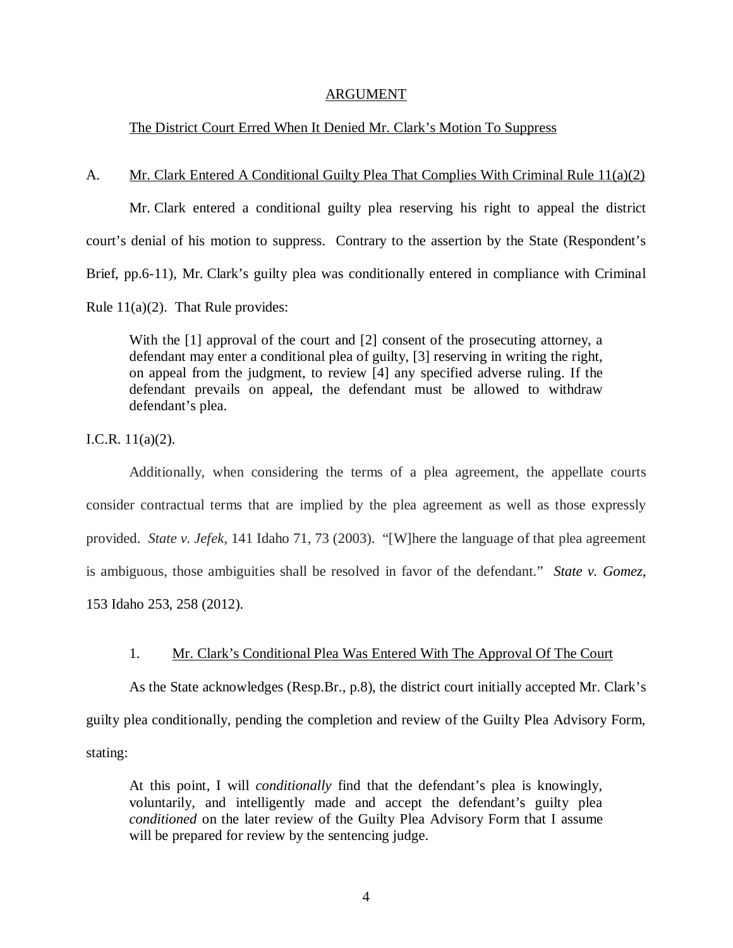### ARGUMENT

### The District Court Erred When It Denied Mr. Clark's Motion To Suppress

#### A. Mr. Clark Entered A Conditional Guilty Plea That Complies With Criminal Rule 11(a)(2)

Mr. Clark entered a conditional guilty plea reserving his right to appeal the district court's denial of his motion to suppress. Contrary to the assertion by the State (Respondent's Brief, pp.6-11), Mr. Clark's guilty plea was conditionally entered in compliance with Criminal Rule  $11(a)(2)$ . That Rule provides:

With the [1] approval of the court and [2] consent of the prosecuting attorney, a defendant may enter a conditional plea of guilty, [3] reserving in writing the right, on appeal from the judgment, to review [4] any specified adverse ruling. If the defendant prevails on appeal, the defendant must be allowed to withdraw defendant's plea.

I.C.R. 11(a)(2).

Additionally, when considering the terms of a plea agreement, the appellate courts consider contractual terms that are implied by the plea agreement as well as those expressly provided. *State v. Jefek*, 141 Idaho 71, 73 (2003). "[W]here the language of that plea agreement is ambiguous, those ambiguities shall be resolved in favor of the defendant." *State v. Gomez*, 153 Idaho 253, 258 (2012).

### 1. Mr. Clark's Conditional Plea Was Entered With The Approval Of The Court

As the State acknowledges (Resp.Br., p.8), the district court initially accepted Mr. Clark's guilty plea conditionally, pending the completion and review of the Guilty Plea Advisory Form, stating:

At this point, I will *conditionally* find that the defendant's plea is knowingly, voluntarily, and intelligently made and accept the defendant's guilty plea *conditioned* on the later review of the Guilty Plea Advisory Form that I assume will be prepared for review by the sentencing judge.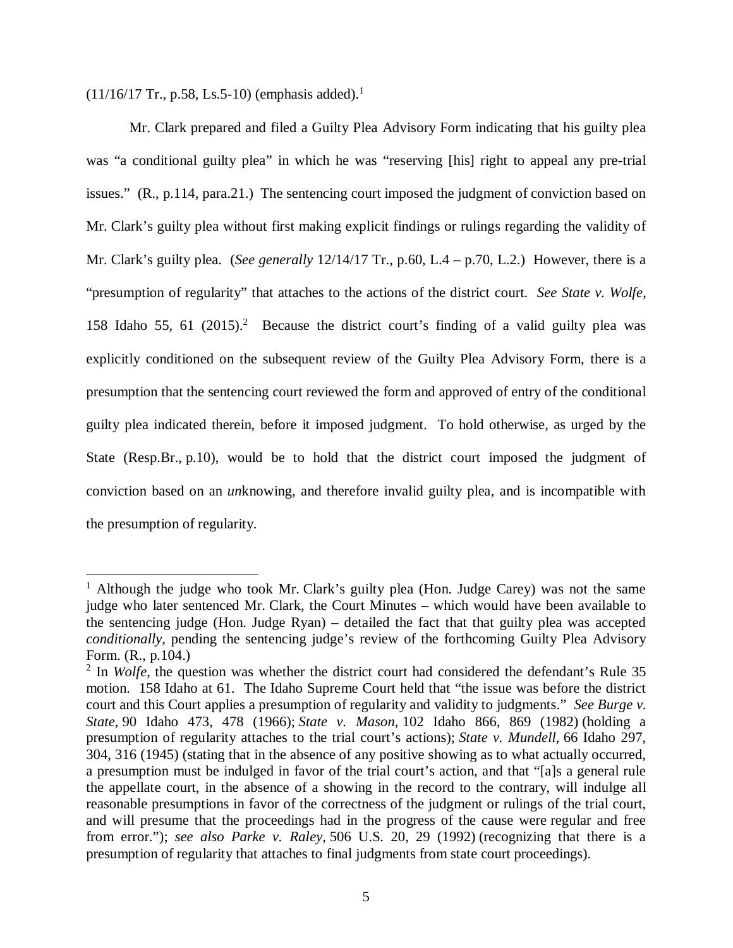$(11/16/17$  $(11/16/17$  $(11/16/17$  Tr., p.58, Ls.5-10) (emphasis added).<sup>1</sup>

Mr. Clark prepared and filed a Guilty Plea Advisory Form indicating that his guilty plea was "a conditional guilty plea" in which he was "reserving [his] right to appeal any pre-trial issues." (R., p.114, para.21.) The sentencing court imposed the judgment of conviction based on Mr. Clark's guilty plea without first making explicit findings or rulings regarding the validity of Mr. Clark's guilty plea. (*See generally* 12/14/17 Tr., p.60, L.4 – p.70, L.2.) However, there is a "presumption of regularity" that attaches to the actions of the district court. *See State v. Wolfe*, 158 Idaho 55, 61 ([2](#page-8-1)015).<sup>2</sup> Because the district court's finding of a valid guilty plea was explicitly conditioned on the subsequent review of the Guilty Plea Advisory Form, there is a presumption that the sentencing court reviewed the form and approved of entry of the conditional guilty plea indicated therein, before it imposed judgment. To hold otherwise, as urged by the State (Resp.Br., p.10), would be to hold that the district court imposed the judgment of conviction based on an *un*knowing, and therefore invalid guilty plea, and is incompatible with the presumption of regularity.

<span id="page-8-0"></span><sup>&</sup>lt;sup>1</sup> Although the judge who took Mr. Clark's guilty plea (Hon. Judge Carey) was not the same judge who later sentenced Mr. Clark, the Court Minutes – which would have been available to the sentencing judge (Hon. Judge Ryan) – detailed the fact that that guilty plea was accepted *conditionally*, pending the sentencing judge's review of the forthcoming Guilty Plea Advisory Form. (R., p.104.)

<span id="page-8-1"></span><sup>&</sup>lt;sup>2</sup> In *Wolfe*, the question was whether the district court had considered the defendant's Rule 35 motion. 158 Idaho at 61. The Idaho Supreme Court held that "the issue was before the district court and this Court applies a presumption of regularity and validity to judgments." *See Burge v. State*, 90 Idaho 473, 478 (1966); *State v. Mason*, 102 Idaho 866, 869 (1982) (holding a presumption of regularity attaches to the trial court's actions); *State v. Mundell*, 66 Idaho 297, 304, 316 (1945) (stating that in the absence of any positive showing as to what actually occurred, a presumption must be indulged in favor of the trial court's action, and that "[a]s a general rule the appellate court, in the absence of a showing in the record to the contrary, will indulge all reasonable presumptions in favor of the correctness of the judgment or rulings of the trial court, and will presume that the proceedings had in the progress of the cause were regular and free from error."); *see also Parke v. Raley*, 506 U.S. 20, 29 (1992) (recognizing that there is a presumption of regularity that attaches to final judgments from state court proceedings).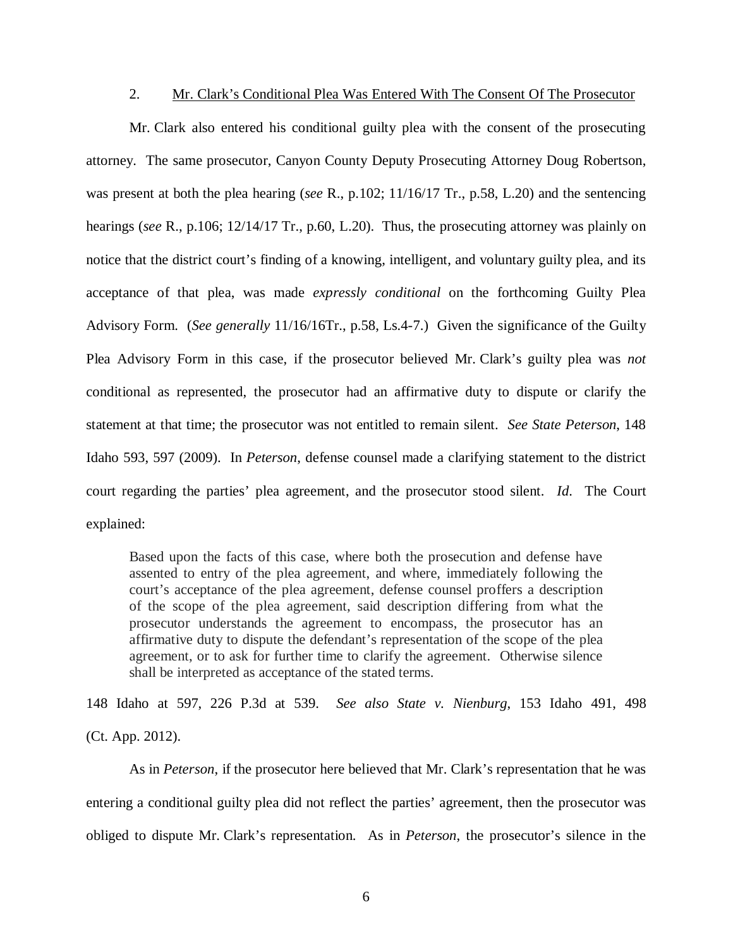### 2. Mr. Clark's Conditional Plea Was Entered With The Consent Of The Prosecutor

Mr. Clark also entered his conditional guilty plea with the consent of the prosecuting attorney. The same prosecutor, Canyon County Deputy Prosecuting Attorney Doug Robertson, was present at both the plea hearing (*see* R., p.102; 11/16/17 Tr., p.58, L.20) and the sentencing hearings (*see* R., p.106; 12/14/17 Tr., p.60, L.20). Thus, the prosecuting attorney was plainly on notice that the district court's finding of a knowing, intelligent, and voluntary guilty plea, and its acceptance of that plea, was made *expressly conditional* on the forthcoming Guilty Plea Advisory Form. (*See generally* 11/16/16Tr., p.58, Ls.4-7.) Given the significance of the Guilty Plea Advisory Form in this case, if the prosecutor believed Mr. Clark's guilty plea was *not* conditional as represented, the prosecutor had an affirmative duty to dispute or clarify the statement at that time; the prosecutor was not entitled to remain silent. *See State Peterson*, 148 Idaho 593, 597 (2009). In *Peterson*, defense counsel made a clarifying statement to the district court regarding the parties' plea agreement, and the prosecutor stood silent. *Id*. The Court explained:

Based upon the facts of this case, where both the prosecution and defense have assented to entry of the plea agreement, and where, immediately following the court's acceptance of the plea agreement, defense counsel proffers a description of the scope of the plea agreement, said description differing from what the prosecutor understands the agreement to encompass, the prosecutor has an affirmative duty to dispute the defendant's representation of the scope of the plea agreement, or to ask for further time to clarify the agreement. Otherwise silence shall be interpreted as acceptance of the stated terms.

[148 Idaho at 597, 226 P.3d at 539](https://1.next.westlaw.com/Link/Document/FullText?findType=Y&serNum=2021307906&pubNum=4645&originatingDoc=I69602efdbefd11e191598982704508d1&refType=RP&fi=co_pp_sp_4645_539&originationContext=document&transitionType=DocumentItem&contextData=(sc.Search)#co_pp_sp_4645_539). *See also State v. Nienburg*, 153 Idaho 491, 498 (Ct. App. 2012).

As in *Peterson*, if the prosecutor here believed that Mr. Clark's representation that he was entering a conditional guilty plea did not reflect the parties' agreement, then the prosecutor was obliged to dispute Mr. Clark's representation. As in *Peterson*, the prosecutor's silence in the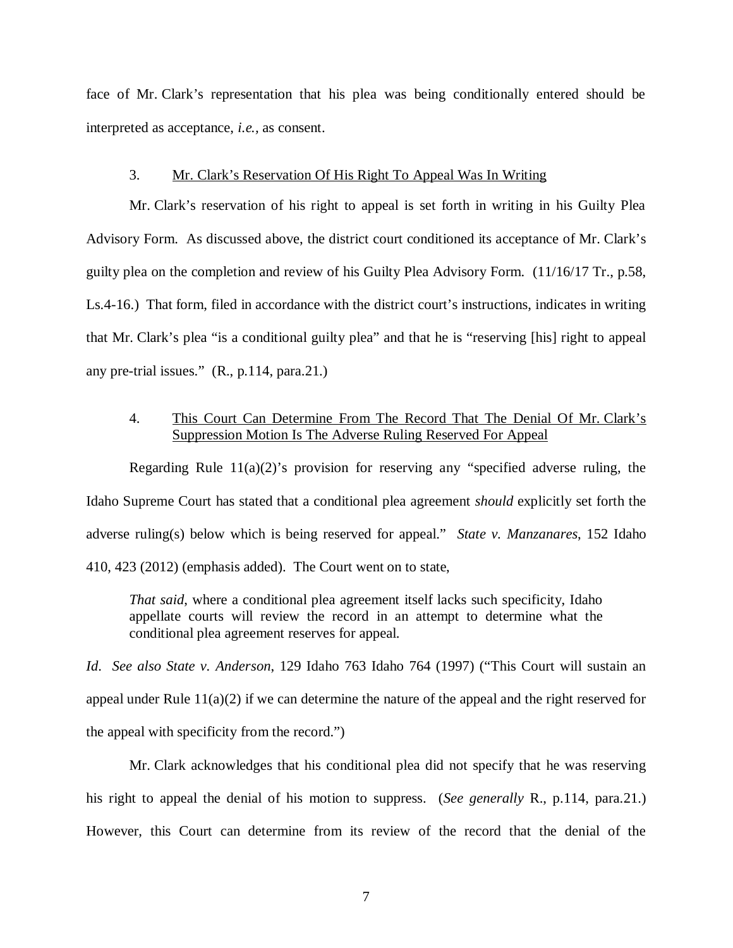face of Mr. Clark's representation that his plea was being conditionally entered should be interpreted as acceptance, *i.e.,* as consent.

#### 3. Mr. Clark's Reservation Of His Right To Appeal Was In Writing

Mr. Clark's reservation of his right to appeal is set forth in writing in his Guilty Plea Advisory Form. As discussed above, the district court conditioned its acceptance of Mr. Clark's guilty plea on the completion and review of his Guilty Plea Advisory Form. (11/16/17 Tr., p.58, Ls.4-16.) That form, filed in accordance with the district court's instructions, indicates in writing that Mr. Clark's plea "is a conditional guilty plea" and that he is "reserving [his] right to appeal any pre-trial issues." (R., p.114, para.21.)

### 4. This Court Can Determine From The Record That The Denial Of Mr. Clark's Suppression Motion Is The Adverse Ruling Reserved For Appeal

Regarding Rule  $11(a)(2)$ 's provision for reserving any "specified adverse ruling, the Idaho Supreme Court has stated that a conditional plea agreement *should* explicitly set forth the adverse ruling(s) below which is being reserved for appeal." *State v. Manzanares*, 152 Idaho 410, 423 (2012) (emphasis added). The Court went on to state,

*That said*, where a conditional plea agreement itself lacks such specificity, Idaho appellate courts will review the record in an attempt to determine what the conditional plea agreement reserves for appeal.

*Id*. *See also State v. Anderson*, 129 Idaho 763 Idaho 764 (1997) ("This Court will sustain an appeal under Rule  $11(a)(2)$  if we can determine the nature of the appeal and the right reserved for the appeal with specificity from the record.")

Mr. Clark acknowledges that his conditional plea did not specify that he was reserving his right to appeal the denial of his motion to suppress. (*See generally* R., p.114, para.21.) However, this Court can determine from its review of the record that the denial of the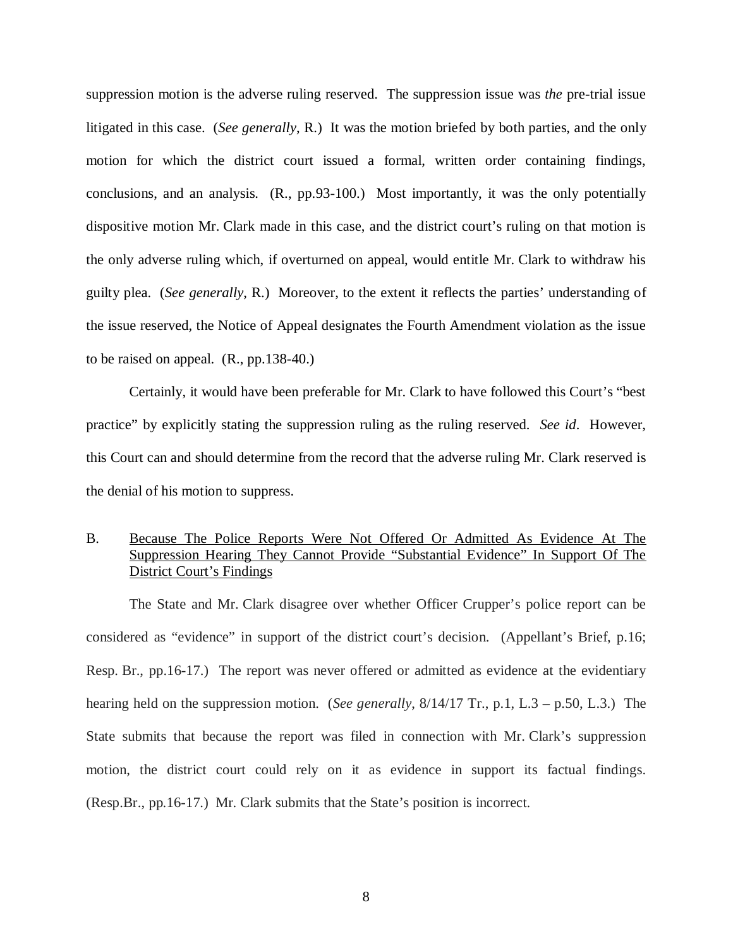suppression motion is the adverse ruling reserved. The suppression issue was *the* pre-trial issue litigated in this case. (*See generally*, R.) It was the motion briefed by both parties, and the only motion for which the district court issued a formal, written order containing findings, conclusions, and an analysis. (R., pp.93-100.) Most importantly, it was the only potentially dispositive motion Mr. Clark made in this case, and the district court's ruling on that motion is the only adverse ruling which, if overturned on appeal, would entitle Mr. Clark to withdraw his guilty plea. (*See generally*, R.) Moreover, to the extent it reflects the parties' understanding of the issue reserved, the Notice of Appeal designates the Fourth Amendment violation as the issue to be raised on appeal. (R., pp.138-40.)

Certainly, it would have been preferable for Mr. Clark to have followed this Court's "best practice" by explicitly stating the suppression ruling as the ruling reserved. *See id*. However, this Court can and should determine from the record that the adverse ruling Mr. Clark reserved is the denial of his motion to suppress.

### B. Because The Police Reports Were Not Offered Or Admitted As Evidence At The Suppression Hearing They Cannot Provide "Substantial Evidence" In Support Of The District Court's Findings

The State and Mr. Clark disagree over whether Officer Crupper's police report can be considered as "evidence" in support of the district court's decision. (Appellant's Brief, p.16; Resp. Br., pp.16-17.) The report was never offered or admitted as evidence at the evidentiary hearing held on the suppression motion. (*See generally*, 8/14/17 Tr., p.1, L.3 – p.50, L.3.) The State submits that because the report was filed in connection with Mr. Clark's suppression motion, the district court could rely on it as evidence in support its factual findings. (Resp.Br., pp.16-17.) Mr. Clark submits that the State's position is incorrect.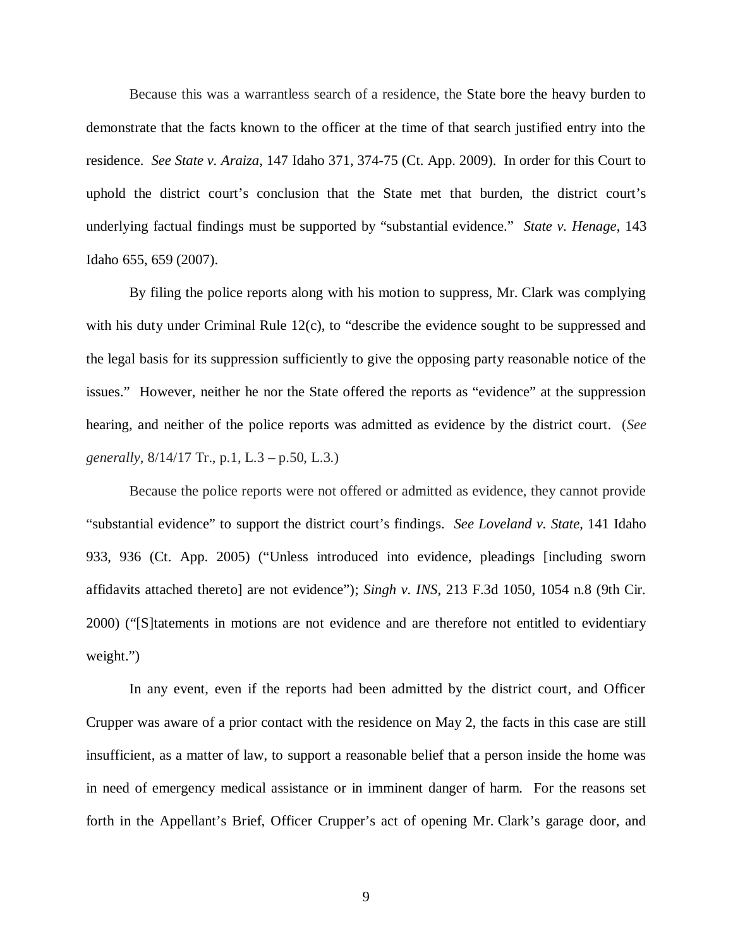Because this was a warrantless search of a residence, the State bore the heavy burden to demonstrate that the facts known to the officer at the time of that search justified entry into the residence. *See State v. Araiza*, 147 Idaho 371, 374-75 (Ct. App. 2009). In order for this Court to uphold the district court's conclusion that the State met that burden, the district court's underlying factual findings must be supported by "substantial evidence." *State v. Henage*, 143 Idaho 655, 659 (2007).

By filing the police reports along with his motion to suppress, Mr. Clark was complying with his duty under Criminal Rule 12(c), to "describe the evidence sought to be suppressed and the legal basis for its suppression sufficiently to give the opposing party reasonable notice of the issues." However, neither he nor the State offered the reports as "evidence" at the suppression hearing, and neither of the police reports was admitted as evidence by the district court. (*See generally*, 8/14/17 Tr., p.1, L.3 – p.50, L.3.)

Because the police reports were not offered or admitted as evidence, they cannot provide "substantial evidence" to support the district court's findings. *See Loveland v. State*, 141 Idaho 933, 936 (Ct. App. 2005) ("Unless introduced into evidence, pleadings [including sworn affidavits attached thereto] are not evidence"); *Singh v. INS*, [213 F.3d 1050](https://casemakerlegal.com/SearchResult.aspx?searchFields%5bstate%5d=&query=213+F.3d+1050&juriStatesHidden=&searchCriteria=Citation&tabAction=ALLC&dtypeName=&headAdmin=&headCaselaw=&headStatutes=&searchType=overview&jurisdictions.allStates=on&jurisdictions.includeRelatedFederal=on&pinCite=y), 1054 n.8 (9th Cir. 2000) ("[S]tatements in motions are not evidence and are therefore not entitled to evidentiary weight.")

In any event, even if the reports had been admitted by the district court, and Officer Crupper was aware of a prior contact with the residence on May 2, the facts in this case are still insufficient, as a matter of law, to support a reasonable belief that a person inside the home was in need of emergency medical assistance or in imminent danger of harm. For the reasons set forth in the Appellant's Brief, Officer Crupper's act of opening Mr. Clark's garage door, and